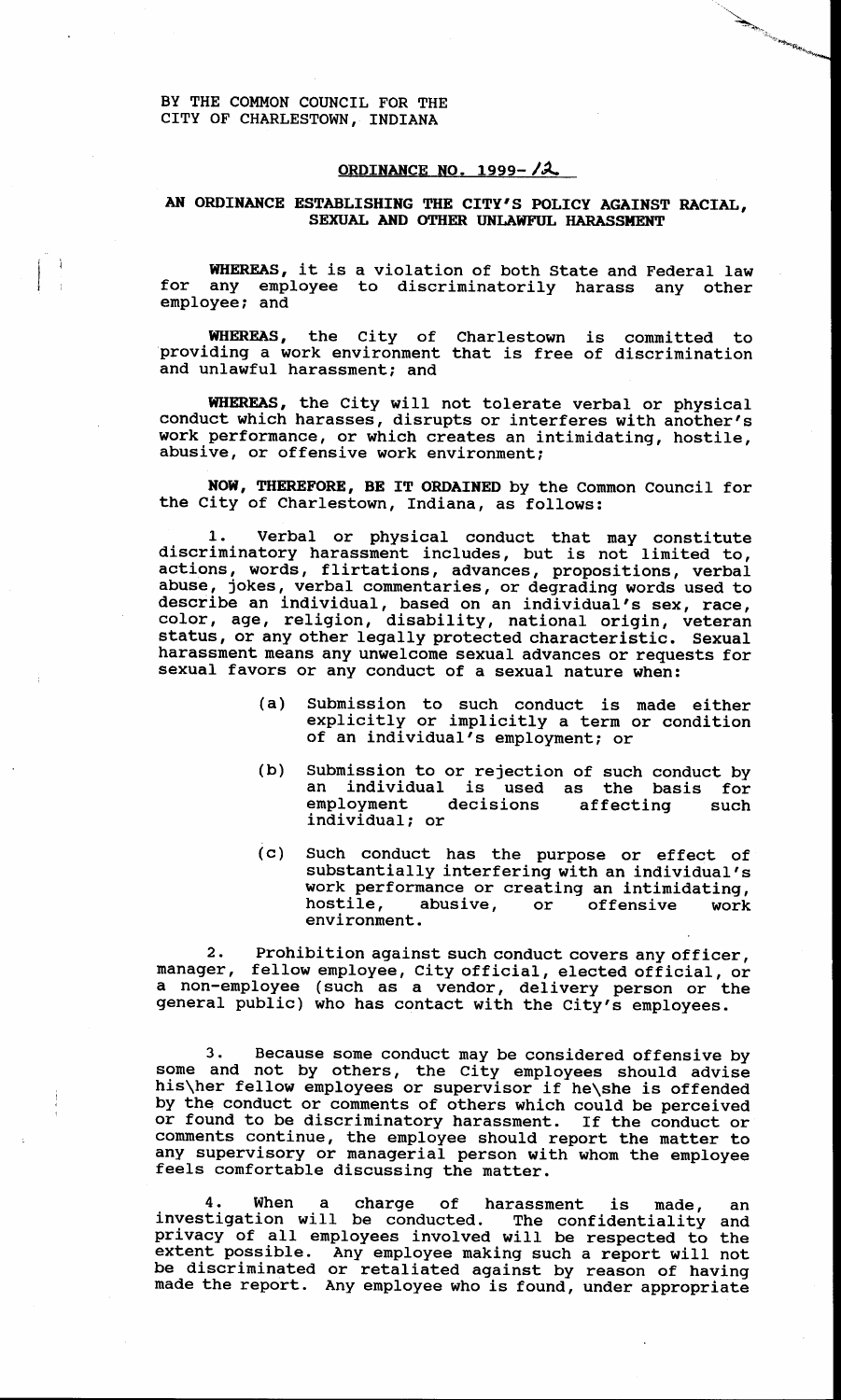BY THE COMMON COUNCIL FOR THE CITY OF CHARLESTOWN, INDIANA

## **ORDINANCE NO. 1999-12**

## **AN ORDINANCE ESTABLISHING THE CITY'S POLICY AGAINST RACIAL, SEXUAL AND OTHER UNLAWFUL HARASSMENT**

**WHEREAS,** it is a violation of both State and Federal law for any employee to discriminatorily harass any other employee; and

**WHEREAS,** the City of Charlestown is committed to providing a work environment that is free of discrimination and unlawful harassment; and

**WHEREAS,** the City will not tolerate verbal or physical conduct which harasses, disrupts or interferes with another's work performance, or which creates an intimidating, hostile, abusive, or offensive work environment;

**NOW, THEREFORE, BE IT ORDAINED** by the Common Council for the City of Charlestown, Indiana, as follows:

1. Verbal or physical conduct that may constitute discriminatory harassment includes, but is not limited to, actions, words, flirtations, advances, propositions, verbal abuse, jokes, verbal commentaries, or degrading words used to describe an individual, based on an individual's sex, race, color, age, religion, disability, national origin, veteran status, or any other legally protected characteristic. Sexual harassment means any unwelcome sexual advances or requests for sexual favors or any conduct of a sexual nature when:

- (a) Submission to such conduct is made either explicitly or implicitly a term or condition of an individual's employment: or
- Submission to or rejection of such conduct by<br>an individual is used as the basis for individual is used as the basis for<br>loyment decisions affecting such employment decisions affecting such individual: or (b)
- (c) Such conduct has the purpose or effect of substantially interfering with an individual's work performance or creating an intimidating, hostile, abusive, or offensive work environment.

Prohibition against such conduct covers any officer, manager, fellow employee, City official, elected official, or a non-employee (such as a vendor, delivery person or the general public) who has contact with the City's employees. **2.** 

**3.** Because some conduct may be considered offensive by some and not by others, the City employees should advise his\her fellow employees or supervisor if he\she is offended by the conduct or comments of others which could be perceived or found to be discriminatory harassment. If the conduct or comments continue, the employee should report the matter to any supervisory or managerial person with whom the employee feels comfortable discussing the matter.

**4.** When a charge of harassment is made, an investigation will be conducted. The confidentiality and privacy of all employees involved will be respected to the extent possible. Any employee making such a report will not be discriminated or retaliated against by reason of having made the report. Any employee who is found, under appropriate